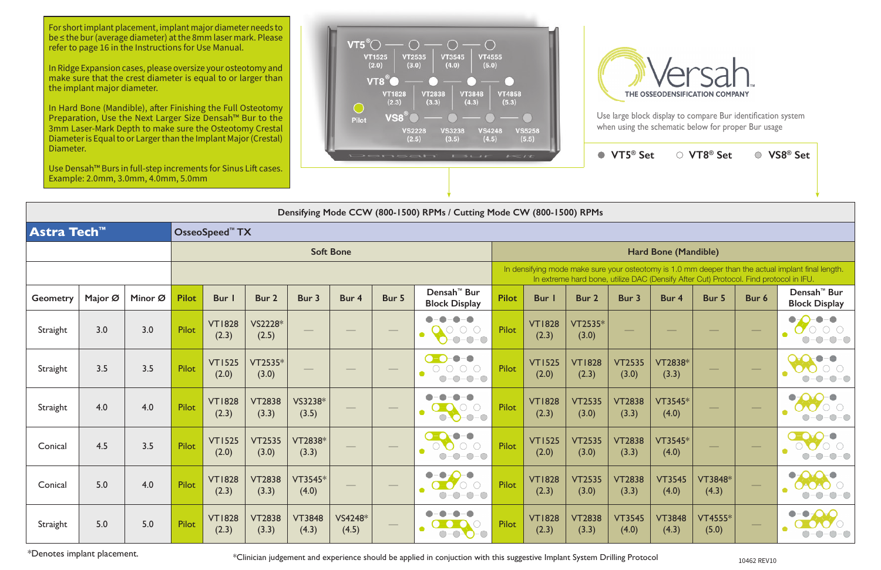Use large block display to compare Bur identification system when using the schematic below for proper Bur usage

| Use Densah™ Burs in full-step increments for Sinus Lift cases.<br>Example: 2.0mm, 3.0mm, 4.0mm, 5.0mm |                                                                       |         |              |                            |                        |                        |                  |       |                                                                                                                                                                                             |              |                        | $\sim$                 | VIJ JEL                |                        | $\sim$ $\sqrt{10}$ JCL  |                                             | A JO DEL                                                      |  |
|-------------------------------------------------------------------------------------------------------|-----------------------------------------------------------------------|---------|--------------|----------------------------|------------------------|------------------------|------------------|-------|---------------------------------------------------------------------------------------------------------------------------------------------------------------------------------------------|--------------|------------------------|------------------------|------------------------|------------------------|-------------------------|---------------------------------------------|---------------------------------------------------------------|--|
|                                                                                                       | Densifying Mode CCW (800-1500) RPMs / Cutting Mode CW (800-1500) RPMs |         |              |                            |                        |                        |                  |       |                                                                                                                                                                                             |              |                        |                        |                        |                        |                         |                                             |                                                               |  |
| Astra Tech™                                                                                           |                                                                       |         |              | OsseoSpeed <sup>™</sup> TX |                        |                        |                  |       |                                                                                                                                                                                             |              |                        |                        |                        |                        |                         |                                             |                                                               |  |
|                                                                                                       |                                                                       |         |              |                            |                        |                        | <b>Soft Bone</b> |       |                                                                                                                                                                                             |              |                        |                        |                        | Hard Bone (Mandible)   |                         |                                             |                                                               |  |
|                                                                                                       |                                                                       |         |              |                            |                        |                        |                  |       | In densifying mode make sure your osteotomy is 1.0 mm deeper than the actual implant final length.<br>In extreme hard bone, utilize DAC (Densify After Cut) Protocol. Find protocol in IFU. |              |                        |                        |                        |                        |                         |                                             |                                                               |  |
| <b>Geometry</b>                                                                                       | Major Ø                                                               | Minor Ø | <b>Pilot</b> | Bur                        | Bur 2                  | Bur 3                  | Bur 4            | Bur 5 | Densah <sup>™</sup> Bur<br><b>Block Display</b>                                                                                                                                             | <b>Pilot</b> | <b>Bur</b>             | Bur 2                  | Bur 3                  | Bur 4                  | Bur 5                   | Bur 6                                       | Densah <sup>™</sup> Bur<br><b>Block Display</b>               |  |
| Straight                                                                                              | 3.0                                                                   | 3.0     | Pilot        | <b>VT1828</b><br>(2.3)     | VS2228*<br>(2.5)       |                        |                  |       | $-\bigcirc$<br>$-$ O $-$ O $-$ O $-$<br>$-0-0-0$                                                                                                                                            | Pilot        | <b>VT1828</b><br>(2.3) | VT2535*<br>(3.0)       |                        |                        |                         |                                             | $-\bullet$<br>$\bigcirc$ - $\bigcirc$ - $\bigcirc$            |  |
| Straight                                                                                              | 3.5                                                                   | 3.5     | <b>Pilot</b> | <b>VT1525</b><br>(2.0)     | VT2535*<br>(3.0)       |                        |                  |       | $\bullet$ - $\bullet$ - $\bullet$<br>$\bigcirc\negmedspace-\bigcirc\negmedspace-\bigcirc\negmedspace-\bigcirc$<br>$O-O-O-O$                                                                 | Pilot        | <b>VT1525</b><br>(2.0) | <b>VT1828</b><br>(2.3) | <b>VT2535</b><br>(3.0) | VT2838*<br>(3.3)       |                         |                                             | $\color{red}\bullet\color{black}-$<br>$\bigcap -\bigcap$      |  |
| Straight                                                                                              | 4.0                                                                   | 4.0     | Pilot        | <b>VT1828</b><br>(2.3)     | <b>VT2838</b><br>(3.3) | VS3238*<br>(3.5)       |                  |       | 0<br>$\overline{\phantom{a}}$<br>$O-O-O-O$                                                                                                                                                  | Pilot        | <b>VT1828</b><br>(2.3) | <b>VT2535</b><br>(3.0) | <b>VT2838</b><br>(3.3) | VT3545*<br>(4.0)       |                         |                                             | ●                                                             |  |
| Conical                                                                                               | 4.5                                                                   | 3.5     | <b>Pilot</b> | <b>VT1525</b><br>(2.0)     | <b>VT2535</b><br>(3.0) | VT2838*<br>(3.3)       |                  |       | $-$<br>$\bullet$ - Or<br>$\begin{array}{ccc} & \circ & \bullet & \circ \\ \circ & \bullet & \circ & \circ \end{array}$<br>$-O$ - $O$                                                        | <b>Pilot</b> | <b>VT1525</b><br>(2.0) | <b>VT2535</b><br>(3.0) | <b>VT2838</b><br>(3.3) | VT3545*<br>(4.0)       |                         |                                             | $-(-)$                                                        |  |
| Conical                                                                                               | 5.0                                                                   | 4.0     | <b>Pilot</b> | <b>VT1828</b><br>(2.3)     | VT2838<br>(3.3)        | VT3545*<br>(4.0)       |                  |       | $\bigcirc$<br>$-\bigcirc$<br>$\bullet$<br>$\overline{\mathbf{O}}$ $\overline{\mathbf{O}}$ $\overline{\mathbf{O}}$ $\overline{\mathbf{O}}$<br>$O-O-O-O$                                      | Pilot        | <b>VT1828</b><br>(2.3) | <b>VT2535</b><br>(3.0) | <b>VT2838</b><br>(3.3) | VT3545<br>(4.0)        | VT3848*<br>(4.3)        | $\hspace{1.0cm} \overbrace{\hspace{1.0cm}}$ | $\bullet$ 000<br>0-0-0-0                                      |  |
| Straight                                                                                              | 5.0                                                                   | 5.0     | Pilot        | <b>VT1828</b><br>(2.3)     | <b>VT2838</b><br>(3.3) | <b>VT3848</b><br>(4.3) | VS4248*<br>(4.5) |       | $- - - - - -$<br>$\bigcirc$<br>$O-O$ - $O$                                                                                                                                                  | Pilot        | <b>VT1828</b><br>(2.3) | <b>VT2838</b><br>(3.3) | <b>VT3545</b><br>(4.0) | <b>VT3848</b><br>(4.3) | <b>VT4555*</b><br>(5.0) |                                             | $\bullet$ - $\bullet$ - $\bullet$ - $\bullet$<br><b>DAOZO</b> |  |

\*Denotes implant placement. **10462 REV10** \*Clinician judgement and experience should be applied in conjuction with this suggestive Implant System Drilling Protocol **10462 REV10** 

**VT5® Set VT8® Set VS8® Set**

For short implant placement, implant major diameter needs to be ≤ the bur (average diameter) at the 8mm laser mark. Please refer to page 16 in the Instructions for Use Manual.

In Ridge Expansion cases, please oversize your osteotomy and make sure that the crest diameter is equal to or larger than the implant major diameter.

In Hard Bone (Mandible), after Finishing the Full Osteotomy Preparation, Use the Next Larger Size Densah™ Bur to the 3mm Laser-Mark Depth to make sure the Osteotomy Crestal Diameter is Equal to or Larger than the Implant Major (Crestal) Diameter.



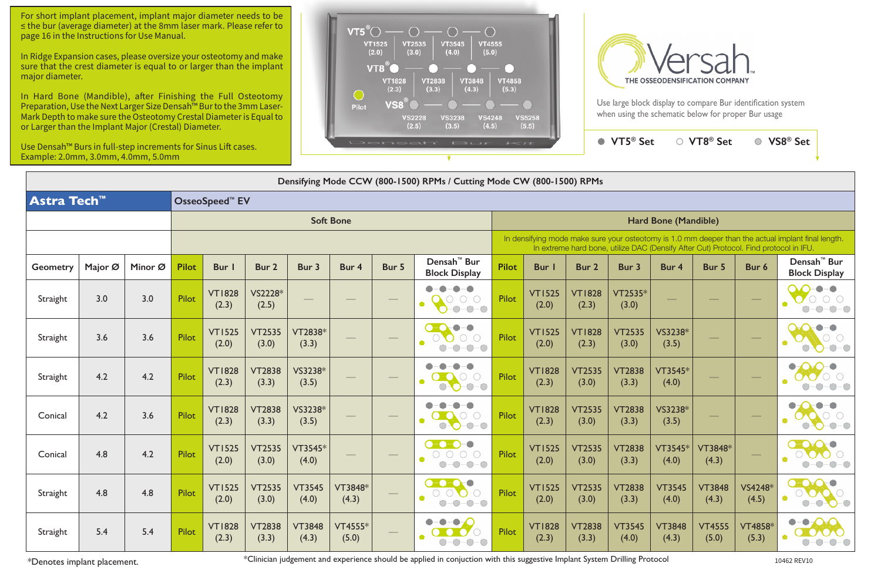Use large block display to compare Bur identification system when using the schematic below for proper Bur usage

| Use Densah™ Burs in full-step increments for Sinus Lift cases.<br>Example: 2.0mm, 3.0mm, 4.0mm, 5.0mm |                                                                       |     |                            |                        |                        |                        |                   |                  | <b>VOCATION ISLE</b>                                                      | $-1$                 |                                                                                                                                                                                             |                        | $\bullet$ VT5 <sup>®</sup> Set |                        | ○ VT8 <sup>®</sup> Set | $\bigcirc$              | VS8 <sup>®</sup> Set                                                            |  |  |  |
|-------------------------------------------------------------------------------------------------------|-----------------------------------------------------------------------|-----|----------------------------|------------------------|------------------------|------------------------|-------------------|------------------|---------------------------------------------------------------------------|----------------------|---------------------------------------------------------------------------------------------------------------------------------------------------------------------------------------------|------------------------|--------------------------------|------------------------|------------------------|-------------------------|---------------------------------------------------------------------------------|--|--|--|
|                                                                                                       | Densifying Mode CCW (800-1500) RPMs / Cutting Mode CW (800-1500) RPMs |     |                            |                        |                        |                        |                   |                  |                                                                           |                      |                                                                                                                                                                                             |                        |                                |                        |                        |                         |                                                                                 |  |  |  |
| <b>Astra Tech<sup>™</sup></b>                                                                         |                                                                       |     | OsseoSpeed <sup>™</sup> EV |                        |                        |                        |                   |                  |                                                                           |                      |                                                                                                                                                                                             |                        |                                |                        |                        |                         |                                                                                 |  |  |  |
|                                                                                                       |                                                                       |     |                            |                        |                        |                        | <b>Soft Bone</b>  |                  |                                                                           | Hard Bone (Mandible) |                                                                                                                                                                                             |                        |                                |                        |                        |                         |                                                                                 |  |  |  |
|                                                                                                       |                                                                       |     |                            |                        |                        |                        |                   |                  |                                                                           |                      | In densifying mode make sure your osteotomy is 1.0 mm deeper than the actual implant final length.<br>In extreme hard bone, utilize DAC (Densify After Cut) Protocol. Find protocol in IFU. |                        |                                |                        |                        |                         |                                                                                 |  |  |  |
| <b>Geometry</b>                                                                                       | Major Ø<br>Minor Ø                                                    |     |                            | <b>Bur</b>             | Bur 2                  | Bur 3                  | Bur 4             | Bur 5            | Densah <sup>™</sup> Bur<br><b>Block Display</b>                           | <b>Pilot</b>         | <b>Bur</b> I                                                                                                                                                                                | Bur 2                  | Bur 3                          | Bur 4                  | Bur 5                  | Bur 6                   | Densah <sup>™</sup> Bur<br><b>Block Display</b>                                 |  |  |  |
| Straight                                                                                              | 3.0                                                                   | 3.0 | <b>Pilot</b>               | <b>VT1828</b><br>(2.3) | VS2228*<br>(2.5)       |                        |                   |                  | $\Box$<br>$-\bullet-\bullet$<br>$-$ O $-$ O<br>$-0 - 0 - 0$               | Pilot                | <b>VT1525</b><br>(2.0)                                                                                                                                                                      | <b>VT1828</b><br>(2.3) | VT2535*<br>(3.0)               |                        |                        |                         |                                                                                 |  |  |  |
| Straight                                                                                              | 3.6                                                                   | 3.6 | Pilot                      | <b>VT1525</b><br>(2.0) | <b>VT2535</b><br>(3.0) | VT2838*<br>(3.3)       | $\hspace{0.05cm}$ |                  | $\bigcirc$<br>$O-O-O-O$                                                   | Pilot                | <b>VT1525</b><br>(2.0)                                                                                                                                                                      | <b>VT1828</b><br>(2.3) | <b>VT2535</b><br>(3.0)         | VS3238*<br>(3.5)       |                        |                         |                                                                                 |  |  |  |
| Straight                                                                                              | 4.2                                                                   | 4.2 | Pilot                      | <b>VT1828</b><br>(2.3) | <b>VT2838</b><br>(3.3) | VS3238*<br>(3.5)       |                   |                  | $()$ – $()$<br>$O-O-O-O$                                                  | Pilot                | <b>VT1828</b><br>(2.3)                                                                                                                                                                      | <b>VT2535</b><br>(3.0) | <b>VT2838</b><br>(3.3)         | VT3545*<br>(4.0)       |                        |                         |                                                                                 |  |  |  |
| Conical                                                                                               | 4.2                                                                   | 3.6 | Pilot                      | <b>VT1828</b><br>(2.3) | <b>VT2838</b><br>(3.3) | VS3238*<br>(3.5)       |                   |                  | $O$ -O<br>$O-O-O-O$                                                       | Pilot                | <b>VT1828</b><br>(2.3)                                                                                                                                                                      | <b>VT2535</b><br>(3.0) | <b>VT2838</b><br>(3.3)         | VS3238*<br>(3.5)       |                        |                         |                                                                                 |  |  |  |
| Conical                                                                                               | 4.8                                                                   | 4.2 | Pilot                      | <b>VT1525</b><br>(2.0) | <b>VT2535</b><br>(3.0) | VT3545*<br>(4.0)       |                   |                  | $\bullet$ - $\bullet$ - $\bullet$ - $\bullet$<br>$O-O-O-O-O$<br>$O-O-O-O$ | Pilot                | <b>VT1525</b><br>(2.0)                                                                                                                                                                      | <b>VT2535</b><br>(3.0) | <b>VT2838</b><br>(3.3)         | VT3545*<br>(4.0)       | VT3848*<br>(4.3)       |                         | $O-O-$<br>$-O-$<br>$-\bigcirc$                                                  |  |  |  |
| Straight                                                                                              | 4.8                                                                   | 4.8 | Pilot                      | <b>VT1525</b><br>(2.0) | <b>VT2535</b><br>(3.0) | <b>VT3545</b><br>(4.0) | VT3848*<br>(4.3)  |                  | $0 - 0 - 0 = 0$<br>$O-O-O-O$<br>$O-O-O-O$                                 | Pilot                | <b>VT1525</b><br>(2.0)                                                                                                                                                                      | <b>VT2535</b><br>(3.0) | <b>VT2838</b><br>(3.3)         | <b>VT3545</b><br>(4.0) | <b>VT3848</b><br>(4.3) | VS4248*<br>(4.5)        | $\bullet$ - $\bullet$ - $\bullet$<br>$O$ O O $\circ$<br>$\bullet$<br>$0$ -O-O-O |  |  |  |
| Straight                                                                                              | 5.4                                                                   | 5.4 | Pilot                      | <b>VT1828</b><br>(2.3) | <b>VT2838</b><br>(3.3) | <b>VT3848</b><br>(4.3) | VT4555*<br>(5.0)  | $\hspace{0.1cm}$ | <b>BOOK</b><br>$O-O-O-O$                                                  | Pilot                | <b>VT1828</b><br>(2.3)                                                                                                                                                                      | <b>VT2838</b><br>(3.3) | <b>VT3545</b><br>(4.0)         | <b>VT3848</b><br>(4.3) | <b>VT4555</b><br>(5.0) | <b>VT4858*</b><br>(5.3) | $-0-0-0$<br>0000<br>$O-O-O-O$                                                   |  |  |  |

\*Denotes implant placement. \*Clinician judgement and experience should be applied in conjuction with this suggestive Implant System Drilling Protocol 10462 REV<sup>10</sup>



For short implant placement, implant major diameter needs to be ≤ the bur (average diameter) at the 8mm laser mark. Please refer to page 16 in the Instructions for Use Manual.

In Ridge Expansion cases, please oversize your osteotomy and make sure that the crest diameter is equal to or larger than the implant major diameter.

In Hard Bone (Mandible), after Finishing the Full Osteotomy Preparation, Use the Next Larger Size Densah™ Bur to the 3mm Laser-Mark Depth to make sure the Osteotomy Crestal Diameter is Equal to or Larger than the Implant Major (Crestal) Diameter.